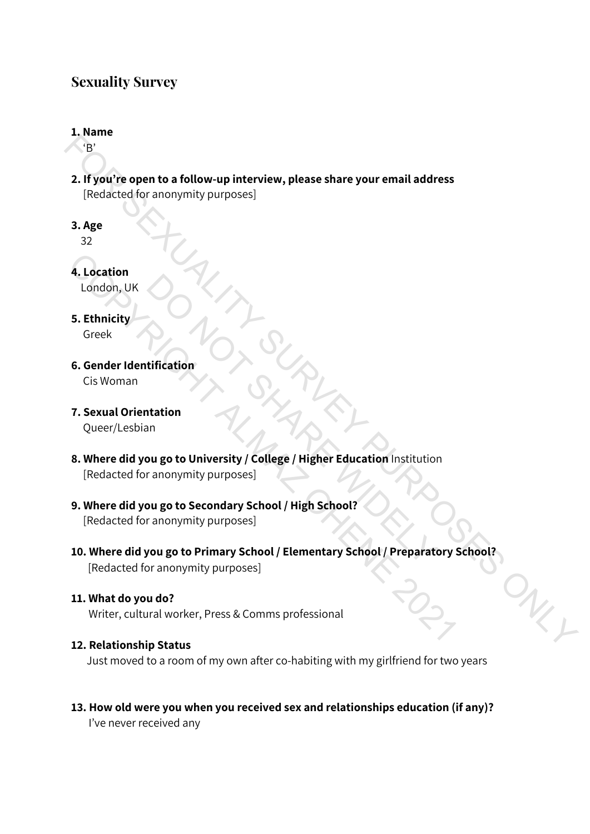### **1. Name**

 $\left( \cdot$ B'

- **2. If you're open to a follow-up interview, please share your email address** [Redacted for anonymity purposes]
- **3. Age**

32

**4. Location**

London, UK

**5. Ethnicity** Greek

- **6. Gender Identification** Cis Woman
- **7. Sexual Orientation** Queer/Lesbian
- **8. Where did you go to University / College / Higher Education** Institution [Redacted for anonymity purposes] Microsofter<br>
We diffication<br>
The US of University / College / Higher Education Institution<br>
The Microsofter anonymity purposes<br>
The Microsofter anonymity purposes<br>
The Microsofter anonymity purposes<br>
The US of Primary Scho
- **9. Where did you go to Secondary School / High School?** [Redacted for anonymity purposes]
- **10. Where did you go to Primary School / Elementary School / Preparatory School?** [Redacted for anonymity purposes] PET<br>
2. If you're open to a follow-up interview, please share your email address<br>
FRedacted for anonymity purposes]<br>
3. Age<br>
32<br>
FE thricity<br>
Creek<br>
6. Gender Identification<br>
1 dindon, UK<br>
5. Ethnicity<br>
Greek<br>
6. Gender Id 4. Location<br>
London, UK<br>
5. Ethnicity<br>
Greek<br>
6. Gender Identification<br>
Cis Woman<br>
7. Sexual Orientation<br>
Queer/Lesbian<br>
8. Where did you go to University / College / Higher Education Institution<br>
[Redacted for anonymity p
	- **11. What do you do?** Writer, cultural worker, Press & Comms professional

### **12. Relationship Status**

Just moved to a room of my own after co-habiting with my girlfriend for two years

**13. How old were you when you received sex and relationships education (if any)?** I've never received any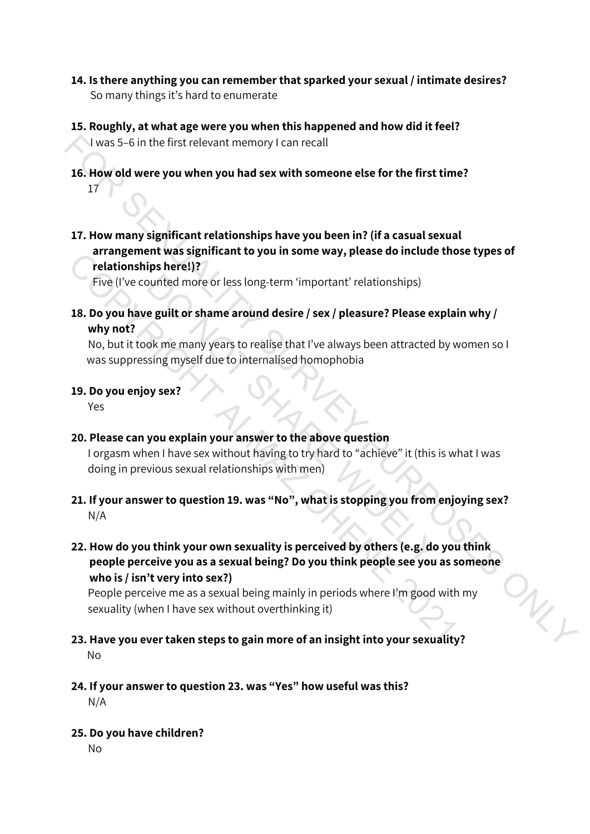- **14. Is there anything you can remember that sparked your sexual / intimate desires?** So many things it's hard to enumerate
- **15. Roughly, at what age were you when this happened and how did it feel?** I was 5–6 in the first relevant memory I can recall
- **16. How old were you when you had sex with someone else for the first time?** 17
- **17. How many significant relationships have you been in? (if a casual sexual dfdfarrangement was significant to you in some way, please do include those types of dfdfrelationships here!)?** I was 5-6 in the first relevant memory I can recall<br>
16. How old were you when you had sex with someone else for the first time?<br>
17. How many significant relationships have you been in? (if a casual sexual<br>
arrangement w

Five (I've counted more or less long-term 'important' relationships)

**18. Do you have guilt or shame around desire / sex / pleasure? Please explain why /** why not?

 No, but it took me many years to realise that I've always been attracted by women so I was suppressing myself due to internalised homophobia

#### **19. Do you enjoy sex?**

Yes

### **20. Please can you explain your answer to the above question**

I orgasm when I have sex without having to try hard to "achieve" it (this is what I was doing in previous sexual relationships with men)

- **21. If your answer to question 19. was "No", what is stopping you from enjoying sex?** N/A
- **22. How do you think your own sexuality is perceived by others (e.g. do you think** people perceive you as a sexual being? Do you think people see you as someone who is / isn't very into sex?) bunted more or less long-term 'important' relationships)<br> **e guilt or shame around desire / sex / pleasure? Please ex**<br>
ok me many years to realise that I've always been attracted<br>
sing myself due to internalised homophobi relationships here)]?<br>
The (I've counted more or less long-term 'important' relationships)<br>
Tive (I've counted more or less long-term 'important' relationships)<br>
18. Do you have guilt or shame around desire / sex / pleasur

People perceive me as a sexual being mainly in periods where I'm good with my sexuality (when I have sex without overthinking it)

- **23. Have you ever taken steps to gain more of an insight into your sexuality?** N<sub>o</sub>
- **24. If your answer to question 23. was "Yes" how useful was this?** N/A
- **25. Do you have children?**

No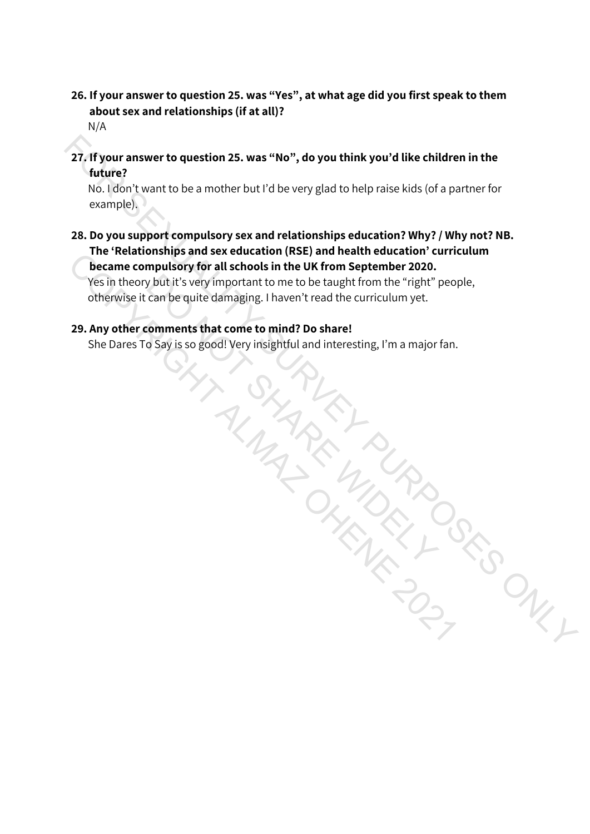# **26. If your answer to question 25. was "Yes", at what age did you first speak to them vxxabout sex and relationships (if at all)?**

N/A

**27. If your answer to question 25. was "No", do you think you'd like children in the** future?

 No. I don't want to be a mother but I'd be very glad to help raise kids (of a partner for example).

**28. Do you support compulsory sex and relationships education? Why? / Why not? NB. vxxThe 'Relationships and sex education (RSE) and health education' curriculum** became compulsory for all schools in the UK from September 2020. 27. If your answer to question 25. was "No", do you think you'd like children in the<br>
No. (1607)<br>
Note that the second the but I'd be very glad to help raise kids (of a partner for<br>
Note that the children in the children i

 Yes in theory but it's very important to me to be taught from the "right" people, otherwise it can be quite damaging. I haven't read the curriculum vet. by but it's very important to me to be taught from the "right"<br>can be quite damaging. I haven't read the curriculum yet.<br>Comments that come to mind? Do share!<br>O Say is so good! Very insightful and interesting, I'm a major<br> The Neature compulsory for all schools in the UK from September 2020.<br>
Yes in theory but it's very important to me to be taught from the "right" peo<br>
otherwise it can be quite damaging. I haven't read the curriculum yet.<br>

# **29. Any other comments that come to mind? Do share!**

She Dares To Say is so good! Very insightful and interesting, I'm a major fan.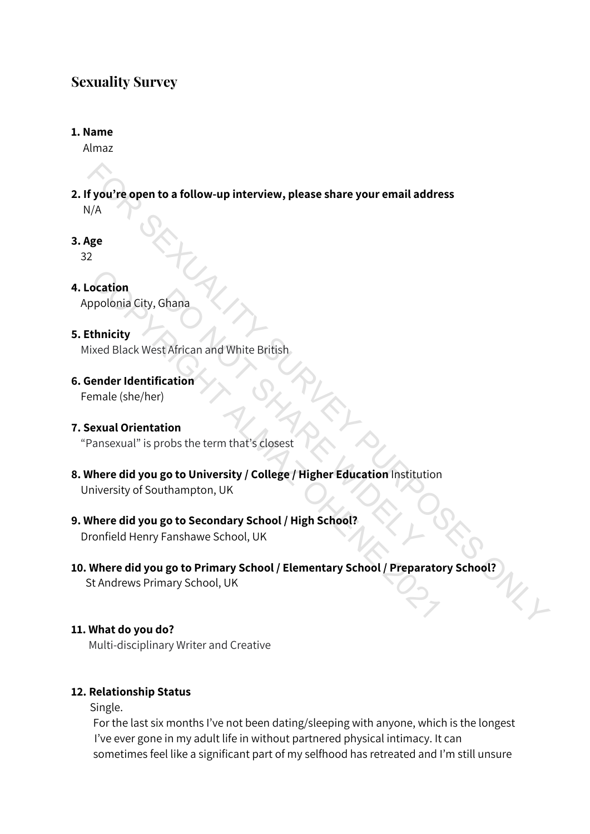### **1. Name**

Almaz

**2. If you're open to a follow-up interview, please share your email address** N/A

# **3. Age**

32

# **4. Location**

Appolonia City, Ghana

## **5. Ethnicity**

Mixed Black West African and White British

**6. Gender Identification** Female (she/her)

### **7. Sexual Orientation**

"Pansexual" is probs the term that's closest

- **8. Where did you go to University / College / Higher Education** Institution University of Southampton, UK Shana<br>
La African and White British<br>
Cation<br>
(Controller British<br>
Shana<br>
(Controller British<br>
Shang Wildelm British<br>
Shang Wildelm British<br>
Shang Wildelm British<br>
Fanshawe School, UK<br>
Tanshawe School, UK ocation<br>
spolonia City, Ghana<br>
thnicity<br>
ixed Black West African and White British<br>
ender Identification<br>
male (she/her)<br>
exual Orientation<br>
"Ansexual Ties Toos the term that's closest<br>
Ihere did you go to University / Col
- **9. Where did you go to Secondary School / High School?** Dronfield Henry Fanshawe School, UK
- **10. Where did you go to Primary School / Elementary School / Preparatory School?** St Andrews Primary School, UK Fyou're open to a follow-up interview, please share your email address<br>V/A<br>W/A<br>2<br>2<br>2<br>coation<br>ppolonia City, Ghana<br>standard Black West African and White British,<br>sender Identification<br>where did you go to University / Colleg

# **11. What do you do?**

Multi-disciplinary Writer and Creative

### **12. Relationship Status**

Single.

For the last six months I've not been dating/sleeping with anyone, which is the longest I've ever gone in my adult life in without partnered physical intimacy. It can sometimes feel like a significant part of my selfhood has retreated and I'm still unsure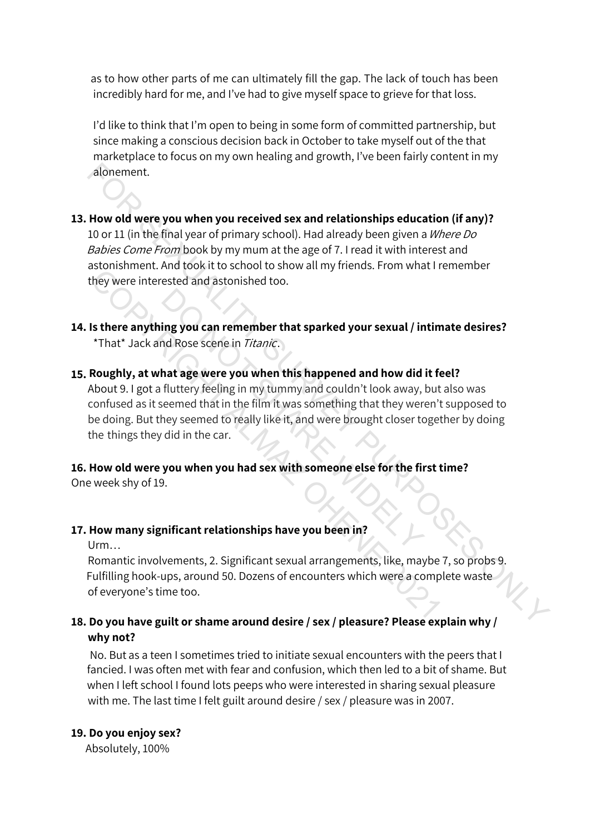as to how other parts of me can ultimately fill the gap. The lack of touch has been incredibly hard for me, and I've had to give myself space to grieve for that loss.

I'd like to think that I'm open to being in some form of committed partnership, but since making a conscious decision back in October to take myself out of the that marketplace to focus on my own healing and growth, I've been fairly content in my alonement.

- **13. How old were you when you received sex and relationships education (if any)?** 10 or 11 (in the final year of primary school). Had already been given a Where Do Babies Come From book by my mum at the age of 7. I read it with interest and astonishment. And took it to school to show all my friends. From what I remember they were interested and astonished too.
- **14. Is there anything you can remember that sparked your sexual / intimate desires?** \*That\* Jack and Rose scene in Titanic.
- 15. Roughly, at what age were you when this happened and how did it feel? About 9. I got a fluttery feeling in my tummy and couldn't look away, but also was confused as it seemed that in the film it was something that they weren't supposed to be doing. But they seemed to really like it, and were brought closer together by doing the things they did in the car. alonement.<br>
How old were you when you received sex and relationships education (if any)?<br>
How old were you when you received sex and relationships education (if any)?<br>
Do or 11 (in the final year of primary school). Had al ing you can remember that sparked your sexual / in<br>
ind Rose scene in *Titanic*.<br>
hat age were you when this happened and how did<br>
fluttery feeling in my tummy and couldn't look away,<br>
seemed that in the film it was someth The Mew many significant relationships have you been in?<br>
That" Jack and Rose scene in *Titanic*.<br>
Is there anything you can remember that sparked your sexual / intin<br>
"That" Jack and Rose scene in *Titanic*.<br>
Roughly, at

**16. How old were you when you had sex with someone else for the first time?** One week shy of 19.

### **17. How many significant relationships have you been in?**

 $U$ rm $\ldots$ 

Romantic involvements, 2. Significant sexual arrangements, like, maybe 7, so probs 9. Fulfilling hook-ups, around 50. Dozens of encounters which were a complete waste of everyone's time too.

## **18. Do you have guilt or shame around desire / sex / pleasure? Please explain why /** why not?

 No. But as a teen I sometimes tried to initiate sexual encounters with the peers that I fancied. I was often met with fear and confusion, which then led to a bit of shame. But when I left school I found lots peeps who were interested in sharing sexual pleasure with me. The last time I felt guilt around desire / sex / pleasure was in 2007.

#### **19. Do you enjoy sex?**

Absolutely, 100%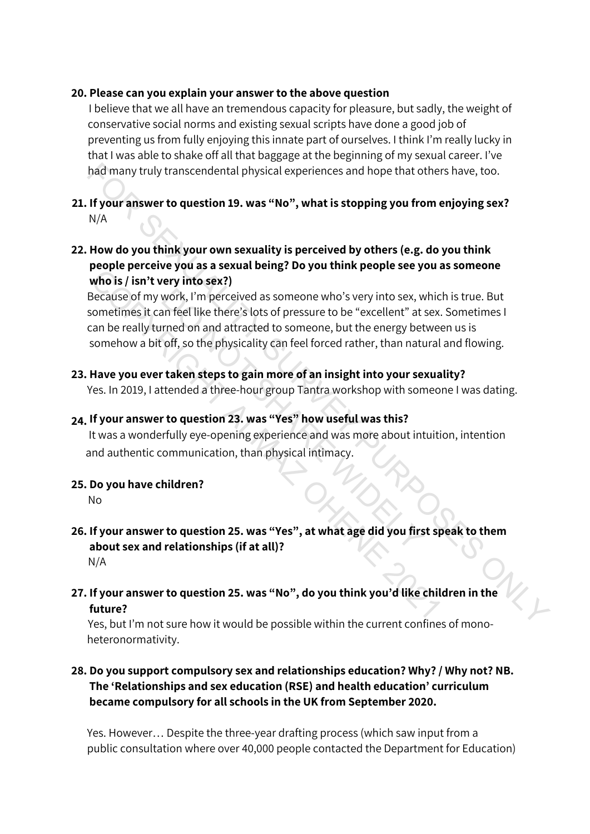### **20. Please can you explain your answer to the above question**

I believe that we all have an tremendous capacity for pleasure, but sadly, the weight of conservative social norms and existing sexual scripts have done a good job of preventing us from fully enjoying this innate part of ourselves. I think I'm really lucky in that I was able to shake off all that baggage at the beginning of my sexual career. I've had many truly transcendental physical experiences and hope that others have, too.

# **21. If your answer to question 19. was "No", what is stopping you from enjoying sex? N/A**

**22. How do you think your own sexuality is perceived by others (e.g. do you think** people perceive you as a sexual being? Do you think people see you as someone who is / isn't very into sex?)

Because of my work, I'm perceived as someone who's very into sex, which is true. But sometimes it can feel like there's lots of pressure to be "excellent" at sex. Sometimes I can be really turned on and attracted to someone, but the energy between us is somehow a bit off, so the physicality can feel forced rather, than natural and flowing. had many truly transcendental physical experiences and hope that others have, too.<br>
If your answer to question 19. was "No", what is stopping you from enjoying sex?<br>
N/A<br>
How do you think your own sexualteing? Do you think work, I'm perceived as someone who's very into sex, we set from feel like there's lots of pressure to be "excellent" at rned on and attracted to someone, but the energy bet off, so the physicality can feel forced rather, t who is / isn't very into sex?)<br>
Because of my work, I'm perceived as someone who's very into sex, which<br>
shown the sixted as someone who is very into sex, which<br>
shown the sixted of my work, I'm perceived as someone who's

**23. Have you ever taken steps to gain more of an insight into your sexuality?**

Yes. In 2019, I attended a three-hour group Tantra workshop with someone I was dating.

## **24. If your answer to question 23. was "Yes" how useful was this?**

It was a wonderfully eye-opening experience and was more about intuition, intention **vx** and authentic communication, than physical intimacy.

### **25. Do you have children?**

No

**26. If your answer to question 25. was "Yes", at what age did you first speak to them vxxabout sex and relationships (if at all)?**

N/A

**27. If your answer to question 25. was "No", do you think you'd like children in the** future?

Yes, but I'm not sure how it would be possible within the current confines of monoheteronormativity.

# **28. Do you support compulsory sex and relationships education? Why? / Why not? NB. vxxThe 'Relationships and sex education (RSE) and health education' curriculum** became compulsory for all schools in the UK from September 2020.

Yes. However... Despite the three-year drafting process (which saw input from a public consultation where over 40,000 people contacted the Department for Education)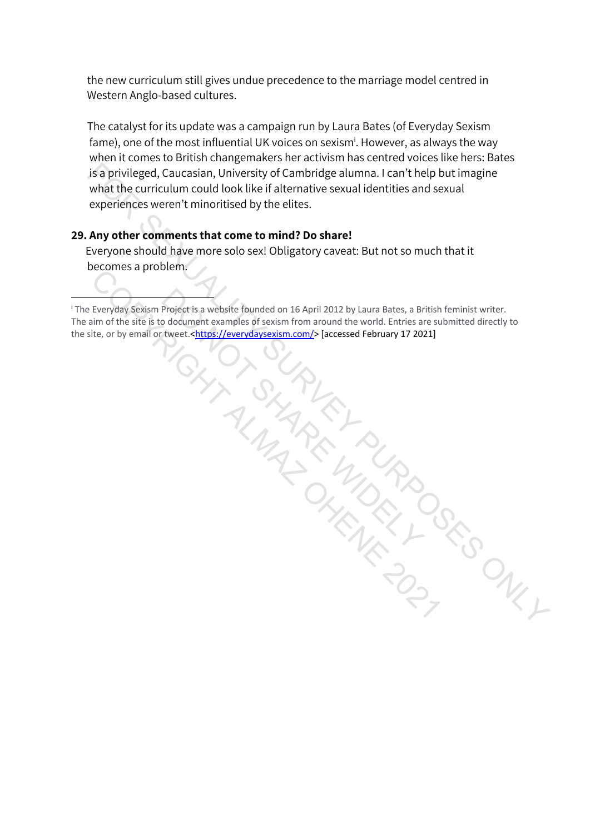the new curriculum still gives undue precedence to the marriage model centred in Western Anglo-based cultures.

The catalyst for its update was a campaign run by Laura Bates (of Everyday Sexism fame), one of the most influential UK voices on sexism<sup>i</sup>. However, as always the way when it comes to British changemakers her activism has centred voices like hers: Bates is a privileged, Caucasian, University of Cambridge alumna. I can't help but imagine what the curriculum could look like if alternative sexual identities and sexual experiences weren't minoritised by the elites. Is a privileged, Caucasian, University of Cambridge alumna. I can't help but imagine<br>what the curriculum could look like if alternative sexual identities and sexual<br>experiences weren't minorities du ythe elites.<br>Any other

## **29. Any other comments that come to mind? Do share!**

Everyone should have more solo sex! Obligatory caveat: But not so much that it becomes a problem.

<sup>i</sup> The Everyday Sexism Project is a website founded on 16 April 2012 by Laura Bates, a British feminist writer. The aim of the site is to document examples of sexism from around the world. Entries are submitted directly to the site, or by email or tweet.<https://everydaysexism.com/> [accessed February 17 2021] OT SITE Everyday Sexism Project is a website founded on 16 April 2012 by Laura Bates, a British<br>Everyday Sexism Project is a website founded on 16 April 2012 by Laura Bates, a British<br>Ide, or by email or tweet. <https://everydayse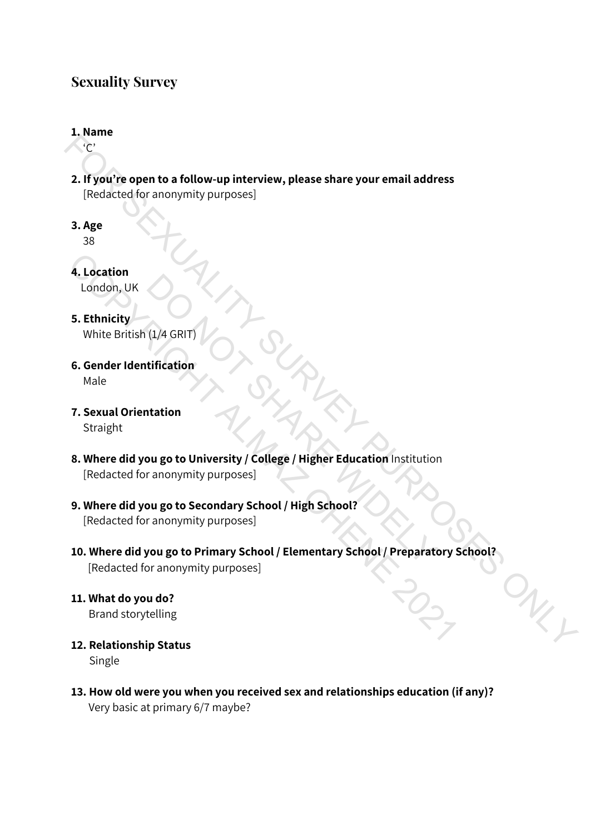### **1. Name**

 $\langle C \rangle$ 

- **2. If you're open to a follow-up interview, please share your email address** [Redacted for anonymity purposes]
- **3. Age**

38

**4. Location**

London, UK

**5. Ethnicity** White British (1/4 GRIT)

- **6. Gender Identification** Male
- **7. Sexual Orientation** Straight
- **8. Where did you go to University / College / Higher Education** Institution [Redacted for anonymity purposes] (1/4 GRIT)<br>
(1/4 GRIT)<br>
tification<br>
ou go to University / College / Higher Education Institution<br>
ranonymity purposes]<br>
you go to Secondary School / High School?<br>
you go to Primary School / Elementary School / Preparato<br>
p

# **9. Where did you go to Secondary School / High School?**

[Redacted for anonymity purposes]

- **10. Where did you go to Primary School / Elementary School / Preparatory School?** [Redacted for anonymity purposes] 2. If you're open to a follow-up interview, please share your email address<br>
FRedacted for anonymity purposes]<br>
3. Age<br>
3. Ucation<br>
1. Conder Identification<br>
1. Conder Identification<br>
1. Conder Identification<br>
1. Sexual Or 4. Location<br>
London, UK<br>
S. Ethnicity<br>
White British (1)4 GRIT)<br>
6. Gender Identification<br>
Male<br>
7. Sexual Orientation<br>
Straight<br>
8. Where did you go to University / College / Higher Education Institution<br>
[Redacted for an
	- **11. What do you do?** Brand storytelling
	- **12. Relationship Status**

Single

**13. How old were you when you received sex and relationships education (if any)?** Very basic at primary 6/7 maybe?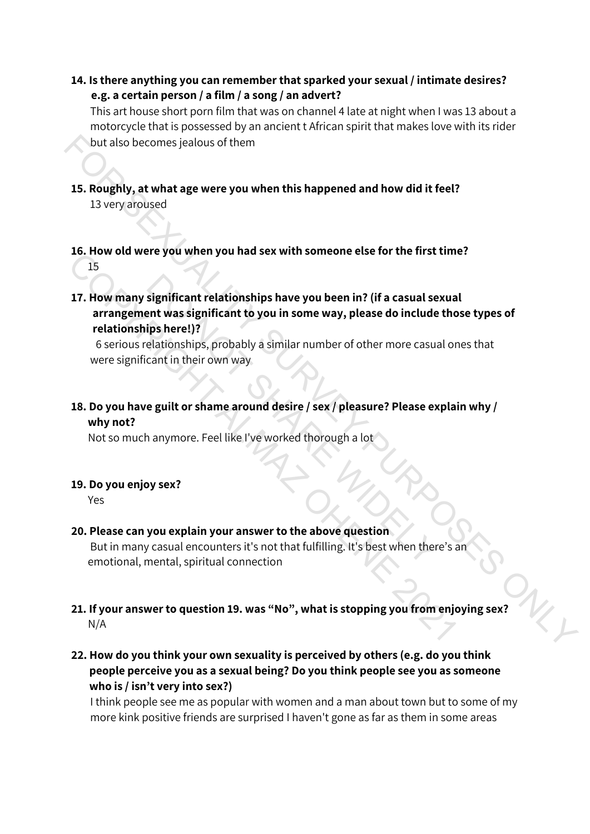**14. Is there anything you can remember that sparked your sexual / intimate desires? dfd e.g. a certain person / a film / a song / an advert?**

This art house short porn film that was on channel 4 late at night when I was 13 about a motorcycle that is possessed by an ancient t African spirit that makes love with its rider but also becomes jealous of them

- **15. Roughly, at what age were you when this happened and how did it feel?** 13 very aroused
- **16. How old were you when you had sex with someone else for the first time?** 15
- **17. How many significant relationships have you been in? (if a casual sexual**  arrangement was significant to you in some way, please do include those types of **dfdfrelationships here!)?** but also becomes jealous of them<br>
15. Roughly, at what age were you when this happened and how did it feel?<br>
13 very aroused<br>
15 very aroused<br>
15. How many significant relationships have you been in? (if a casual sexual<br>
1 significant relationships have you been in? (if a casual se<br>ent was significant to you in some way, please do include<br>ips here!)?<br>elationships, probably a similar number of other more casua<br>cant in their own way<br>e guilt or 15<br>
15<br>
17. How many significant relationships have you been in? (if a casual sexual<br>
arrangement was significant to you in some way, please do include the<br>
relationships here!)?<br>
6 serious relationships, probably a simila

6 serious relationships, probably a similar number of other more casual ones that were significant in their own way

**18. Do you have guilt or shame around desire / sex / pleasure? Please explain why /**  why not?

Not so much anymore. Feel like I've worked thorough a lot

### **19. Do you enjoy sex?**

Yes

# **20. Please can you explain your answer to the above question**

But in many casual encounters it's not that fulfilling. It's best when there's ar emotional, mental, spiritual connection

- **21. If your answer to question 19. was "No", what is stopping you from enjoying sex?** N/A
- **22. How do you think your own sexuality is perceived by others (e.g. do you think**  people perceive you as a sexual being? Do you think people see you as someone who is / isn't very into sex?)

I think people see me as popular with women and a man about town but to some of my more kink positive friends are surprised I haven't gone as far as them in some areas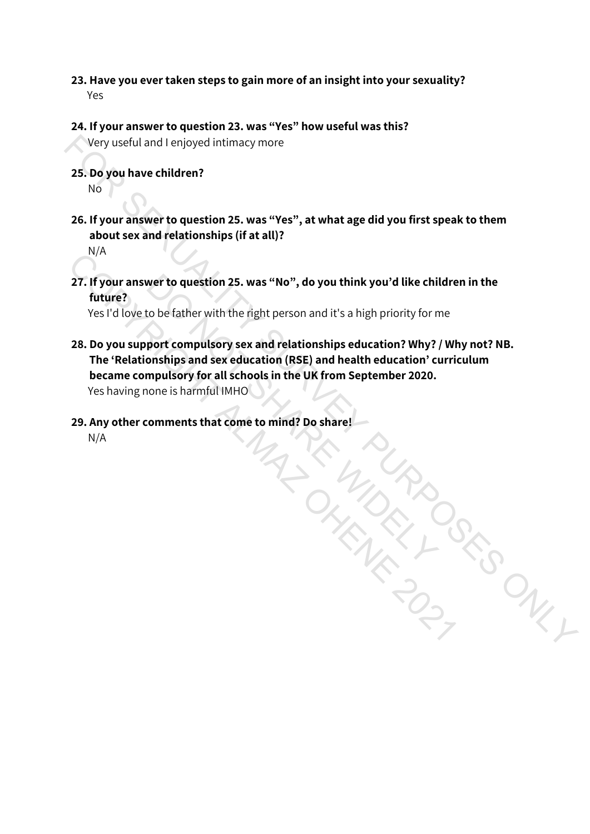- **23. Have you ever taken steps to gain more of an insight into your sexuality?** Yes
- **24. If your answer to question 23. was "Yes" how useful was this?**  Very useful and I enjoyed intimacy more
- **25. Do you have children?**

No

**26. If your answer to question 25. was "Yes", at what age did you first speak to them vxxabout sex and relationships (if at all)?**

N/A

**27. If your answer to question 25. was "No", do you think you'd like children in the**  future?

Yes I'd love to be father with the right person and it's a high priority for me

**28. Do you support compulsory sex and relationships education? Why? / Why not? NB. vxxThe 'Relationships and sex education (RSE) and health education' curriculum**  became compulsory for all schools in the UK from September 2020. Very useful and l enjoyed intimacy more<br>
25. Do you have children?<br>
No<br>
26. Hyour answer to question 25. was "Yes", at what age did you first speak to them<br>
about sex and relationships (if at all)?<br>
N/A<br>
27. Hyour answer Wer to question 25. was "No", do you think you'd like chi<br>to be father with the right person and it's a high priority for n<br>port compulsory sex and relationships education? Why?<br>onships and sex education (RSE) and health e 27. If your answer to question 25. was "No", do you think you'd like childre<br>future?<br>Yes I'd love to be father with the right person and it's a high priority for me<br>28. Do you support compulsory sex and relationships educ

Yes having none is harmful IMHO

**29. Any other comments that come to mind? Do share!**

N/A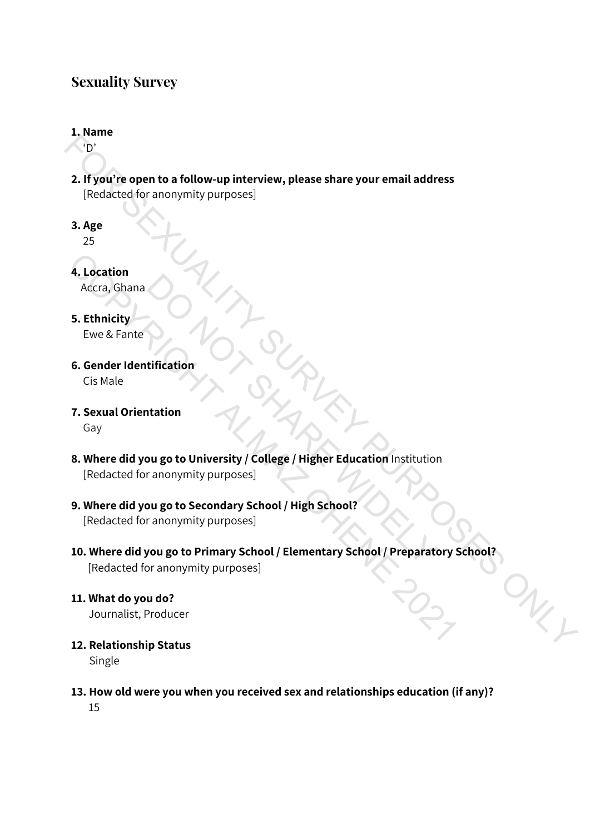### **1. Name**

'D'

- **2. If you're open to a follow-up interview, please share your email address** [Redacted for anonymity purposes]
- **3. Age**

25

**4. Location**

Accra, Ghana

**5. Ethnicity**

Ewe & Fante

**6. Gender Identification**

Cis Male

- **7. Sexual Orientation** Gay
- **8. Where did you go to University / College / Higher Education** Institution [Redacted for anonymity purposes] Microsofter<br>
Microsofter Education<br>
Du go to University / College / Higher Education Institution<br>
Tranonymity purposes<br>
Jou go to Secondary School / High School?<br>
Tranonymity purposes<br>
Du go to Primary School / Elementary

# **9. Where did you go to Secondary School / High School?**

[Redacted for anonymity purposes]

- **10. Where did you go to Primary School / Elementary School / Preparatory School?** [Redacted for anonymity purposes] FOR SEXUALITY SURVEY PURPOSES ONLY 4. Location<br>
Accra, Ghana<br>
5. Ethnicity<br>
Ewe & Fante<br>
6. Gender Identification<br>
Cis Male<br>
7. Sexual Orientation<br>
(Gy)<br>
8. Where did you go to University / College / Higher Education Institution<br>
[Redacted for anonymity pur
- **11. What do you do?** Journalist, Producer
- **12. Relationship Status**

Single

**13. How old were you when you received sex and relationships education (if any)?**

v 15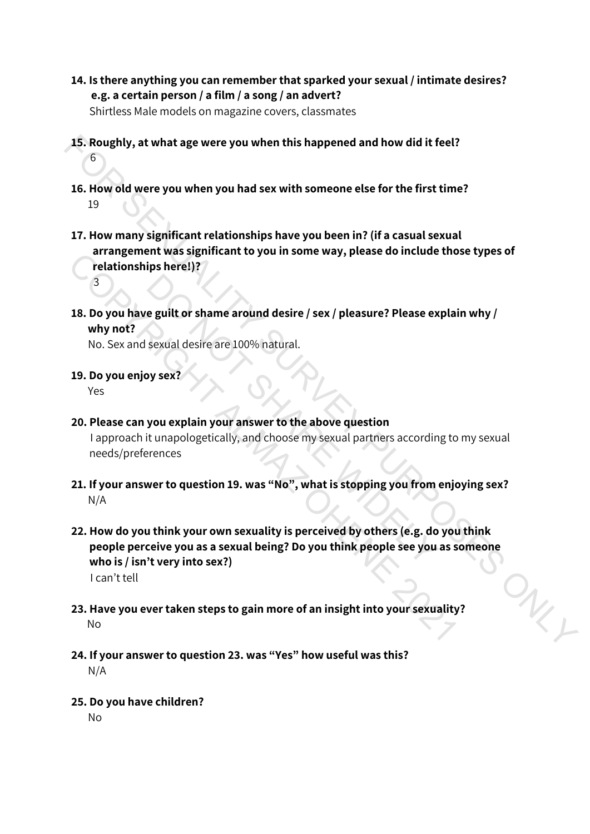**14. Is there anything you can remember that sparked your sexual / intimate desires? dfd e.g. a certain person / a film / a song / an advert?**

Shirtless Male models on magazine covers, classmates

- **15. Roughly, at what age were you when this happened and how did it feel?**
- **16. How old were you when you had sex with someone else for the first time?** 19
- **17. How many significant relationships have you been in? (if a casual sexual dfdfarrangement was significant to you in some way, please do include those types of dfdfrelationships here!)? Dfdf**3
- **18. Do you have guilt or shame around desire / sex / pleasure? Please explain why /**  why not?

No. Sex and sexual desire are 100% natural.

**19. Do you enjoy sex?** Yes

6

- **20. Please can you explain your answer to the above question** I approach it unapologetically, and choose my sexual partners according to my sexual **vxx**needs/preferences
- **21. If your answer to question 19. was "No", what is stopping you from enjoying sex?** N/A
- **22. How do you think your own sexuality is perceived by others (e.g. do you think**  people perceive you as a sexual being? Do you think people see you as someone who is / isn't very into sex?) I can't tell 15. Roughly, at what age were you when this happened and how did it feel?<br>
FOR SHOW of Were you when you had sex with someone else for the first time?<br>
17. How many significant relationships have you been in? (if a casual e guilt or shame around desire / sex / pleasure? Please ex<br>sexual desire are 100% natural.<br>Do sex?<br>you explain your answer to the above question<br>it unapologetically, and choose my sexual partners accordinarences<br>wer to que The relationships here!)?<br>
The lationships here!)?<br>
3<br>
18. Do you have guilt or shame around desire / sex / pleasure? Please explantly ont?<br>
20. Sex and sexual desire are 100% natural.<br>
19. Do you enjoy sex?<br>
20. Please ca
	- **23. Have you ever taken steps to gain more of an insight into your sexuality?** N<sub>o</sub>
	- **24. If your answer to question 23. was "Yes" how useful was this?**  N/A
	- **25. Do you have children?**

No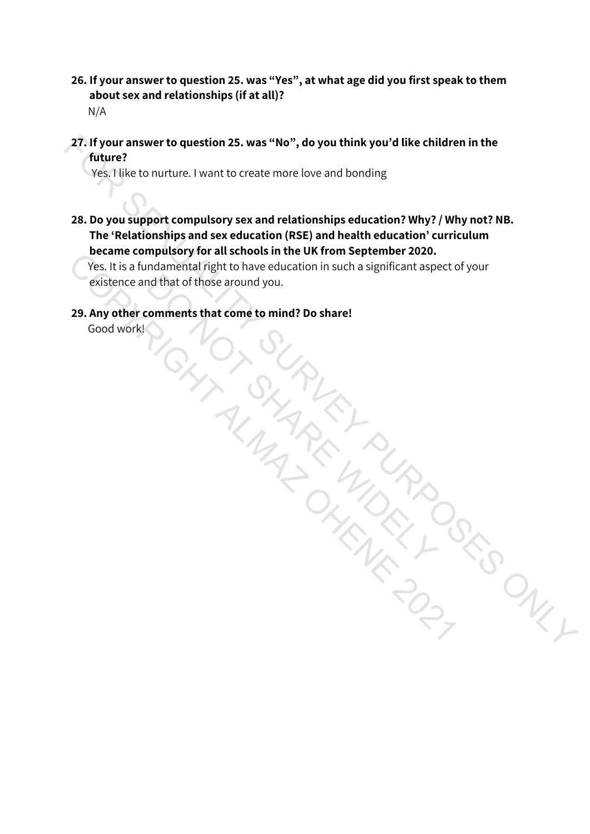**26. If your answer to question 25. was "Yes", at what age did you first speak to them vxxabout sex and relationships (if at all)?**

N/A

**27. If your answer to question 25. was "No", do you think you'd like children in the**  future?

Yes. I like to nurture. I want to create more love and bonding

**28. Do you support compulsory sex and relationships education? Why? / Why not? NB. vxxThe 'Relationships and sex education (RSE) and health education' curriculum vxxbecame compulsory for all schools in the UK from September 2020.**  27. If your answer to question 25. was "No", do you think you'd like children in the<br>
Circle Tuture?<br>
Circle Tuture Pure in the three inversions and the control over and bonding<br>
28. Do you support compulsory sex and relat

 Yes. It is a fundamental right to have education in such a significant aspect of your existence and that of those around you. Nothat of those around you.<br>
Comments that come to mind? Do share!<br>
Change of the comments of the comments of the comments of the comments of the comments of the comments of the comments of the comments of the comments of Free the communitating that of those education in such a significant aspect existence and that of those around you.<br>
29. Any other comments that come to mind? Do share!<br>
Good work!<br>
COPY AND COPY AND CONSIDER AND CONSIDER

# **29. Any other comments that come to mind? Do share!**

Good work!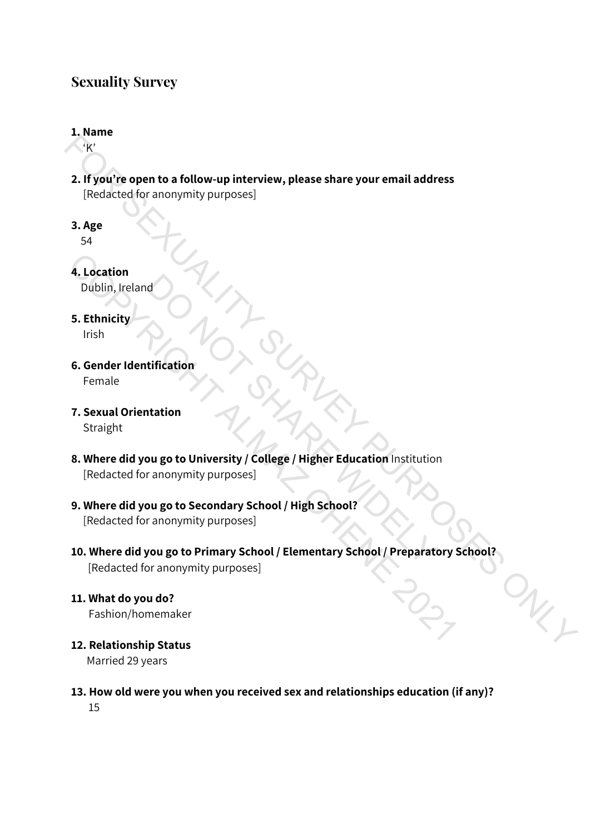### **1. Name**

 $\left( K\right)$ 

- **2. If you're open to a follow-up interview, please share your email address** [Redacted for anonymity purposes]
- **3. Age**

54

**4. Location**

Dublin, Ireland

**5. Ethnicity**

Irish

- **6. Gender Identification** Female
- **7. Sexual Orientation** Straight
- **8. Where did you go to University / College / Higher Education** Institution [Redacted for anonymity purposes] d<br>
We diffication<br>
Du go to University / College / Higher Education Institution<br>
Tranonymity purposes<br>
Du go to Secondary School / High School?<br>
Tranonymity purposes<br>
Du go to Primary School / Elementary School / Preparato

# **9. Where did you go to Secondary School / High School?**

[Redacted for anonymity purposes]

**10. Where did you go to Primary School / Elementary School / Preparatory School?** [Redacted for anonymity purposes] Recorded to a follow-up interview, please share your email address<br>
FRedacted for anonymity purposes]<br>
3. Age<br>
5. Ethnicity<br>
5. Ethnicity<br>
1. Location<br>
1. Dublis, Ireland<br>
5. Ethnicity<br>
1. Sexual Orientation<br>
1. Sexual Ori 4. Location<br>
Dublin, Ireland<br>
5. Ethnicity<br>
Irish<br>
6. Gender Identification<br>
Female<br>
7. Sexual Orientation<br>
Straight<br>
8. Where did you go to University / College / Higher Education Institution<br>
[Redacted for anonymity purp

# **11. What do you do?**

Fashion/homemaker

**12. Relationship Status**

Married 29 years

**13. How old were you when you received sex and relationships education (if any)?**

v 15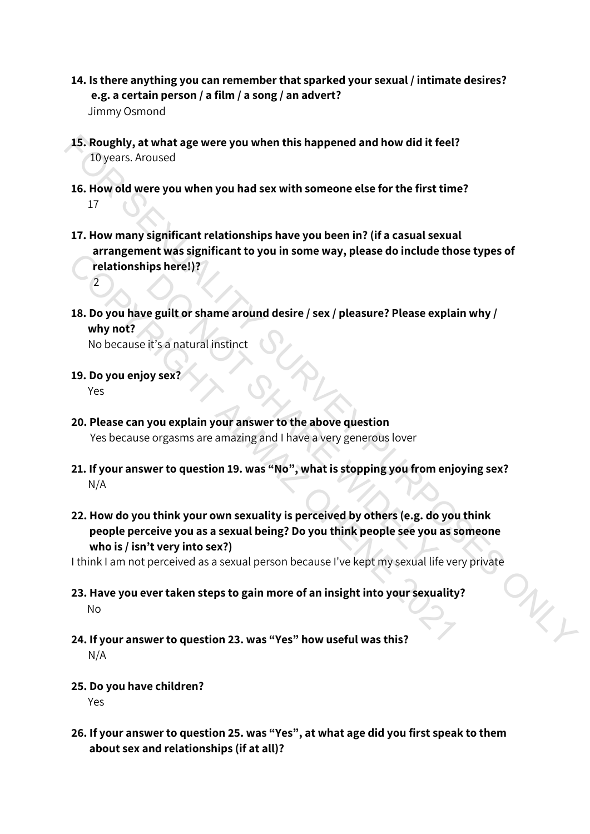- **14. Is there anything you can remember that sparked your sexual / intimate desires? dfd e.g. a certain person / a film / a song / an advert?** Jimmy Osmond
- **15. Roughly, at what age were you when this happened and how did it feel?** 10 years. Aroused
- **16. How old were you when you had sex with someone else for the first time?** 17
- **17. How many significant relationships have you been in? (if a casual sexual dfdfarrangement was significant to you in some way, please do include those types of dfdfrelationships here!)?**  $\overline{2}$ 15. Roughly, at what age were you when this happened and how did it feel?<br>
10 years. Aroused<br>
16. How old were you when you had sex with someone else for the first time?<br>
17. How many significant relationships have you be
	- **18. Do you have guilt or shame around desire / sex / pleasure? Please explain why /** why not?

No because it's a natural instinct

- **19. Do you enjoy sex?** Yes
- **20. Please can you explain your answer to the above question** Yes because orgasms are amazing and I have a very generous lover
- **21. If your answer to question 19. was "No", what is stopping you from enjoying sex?** N/A
- **22. How do you think your own sexuality is perceived by others (e.g. do you think** people perceive you as a sexual being? Do you think people see you as someone who is / isn't very into sex?) e guilt or shame around desire / sex / pleasure? Please ex<br>it's a natural instinct<br>by sex?<br>you explain your answer to the above question<br>e orgasms are amazing and I have a very generous lover<br>wer to question 19. was "No", COPYRIGHT ALMAZ OHENE 2021

I think I am not perceived as a sexual person because I've kept my sexual life very private

- **23. Have you ever taken steps to gain more of an insight into your sexuality?** N<sub>o</sub>
- **24. If your answer to question 23. was "Yes" how useful was this?** N/A
- **25. Do you have children?**

Yes

**26. If your answer to question 25. was "Yes", at what age did you first speak to them vxxabout sex and relationships (if at all)?**